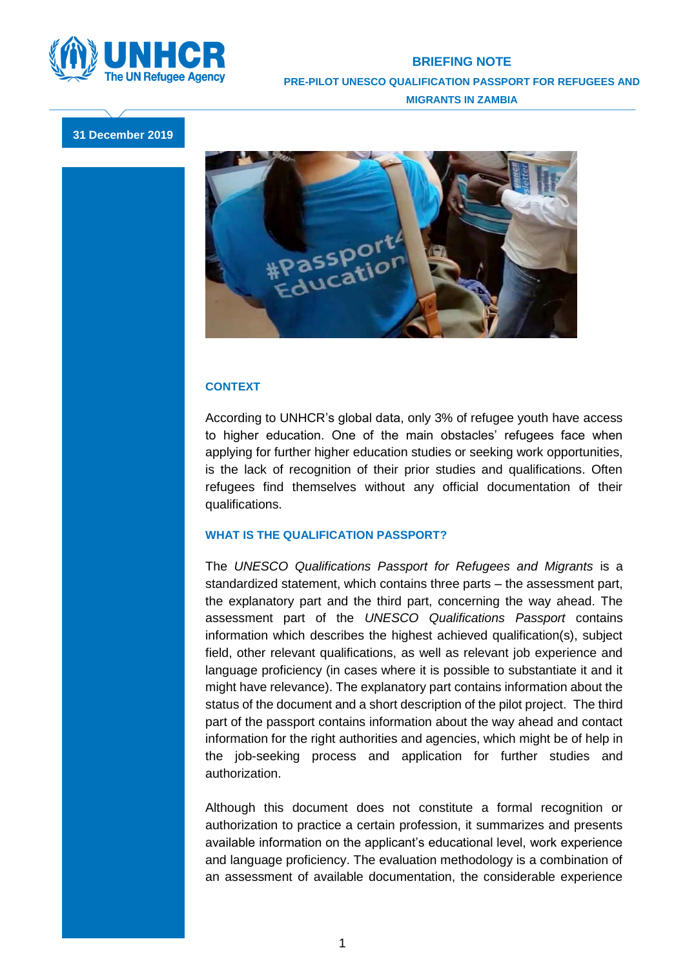

## **BRIEFING NOTE PRE-PILOT UNESCO QUALIFICATION PASSPORT FOR REFUGEES AND MIGRANTS IN ZAMBIA**

**31 December 2019**



## **CONTEXT**

According to UNHCR's global data, only 3% of refugee youth have access to higher education. One of the main obstacles' refugees face when applying for further higher education studies or seeking work opportunities, is the lack of recognition of their prior studies and qualifications. Often refugees find themselves without any official documentation of their qualifications.

## **WHAT IS THE QUALIFICATION PASSPORT?**

The *UNESCO Qualifications Passport for Refugees and Migrants* is a standardized statement, which contains three parts – the assessment part, the explanatory part and the third part, concerning the way ahead. The assessment part of the *UNESCO Qualifications Passport* contains information which describes the highest achieved qualification(s), subject field, other relevant qualifications, as well as relevant job experience and language proficiency (in cases where it is possible to substantiate it and it might have relevance). The explanatory part contains information about the status of the document and a short description of the pilot project. The third part of the passport contains information about the way ahead and contact information for the right authorities and agencies, which might be of help in the job-seeking process and application for further studies and authorization.

Although this document does not constitute a formal recognition or authorization to practice a certain profession, it summarizes and presents available information on the applicant's educational level, work experience and language proficiency. The evaluation methodology is a combination of an assessment of available documentation, the considerable experience